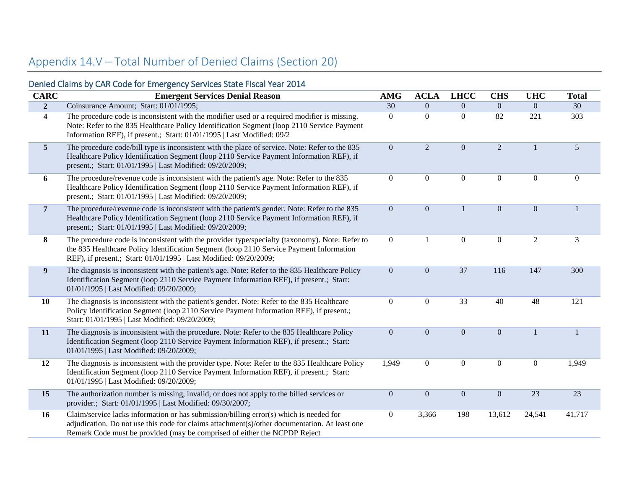## Appendix 14.V – Total Number of Denied Claims (Section 20)

|                         | Denied Claims by CAR Code for Emergency Services State Fiscal Year 2014                                                                                                                                                                                              |                  |                  |                  |                  |                  |                  |
|-------------------------|----------------------------------------------------------------------------------------------------------------------------------------------------------------------------------------------------------------------------------------------------------------------|------------------|------------------|------------------|------------------|------------------|------------------|
| <b>CARC</b>             | <b>Emergent Services Denial Reason</b>                                                                                                                                                                                                                               | <b>AMG</b>       | <b>ACLA</b>      | <b>LHCC</b>      | <b>CHS</b>       | <b>UHC</b>       | <b>Total</b>     |
| $\overline{2}$          | Coinsurance Amount; Start: 01/01/1995;                                                                                                                                                                                                                               | $\overline{30}$  | $\boldsymbol{0}$ | $\overline{0}$   | $\overline{0}$   | $\overline{0}$   | 30               |
| $\overline{\mathbf{4}}$ | The procedure code is inconsistent with the modifier used or a required modifier is missing.<br>Note: Refer to the 835 Healthcare Policy Identification Segment (loop 2110 Service Payment<br>Information REF), if present.; Start: 01/01/1995   Last Modified: 09/2 | $\boldsymbol{0}$ | $\boldsymbol{0}$ | $\boldsymbol{0}$ | 82               | 221              | 303              |
| $5\phantom{.0}$         | The procedure code/bill type is inconsistent with the place of service. Note: Refer to the 835<br>Healthcare Policy Identification Segment (loop 2110 Service Payment Information REF), if<br>present.; Start: 01/01/1995   Last Modified: 09/20/2009;               | $\boldsymbol{0}$ | $\overline{2}$   | $\overline{0}$   | $\overline{2}$   | $\mathbf{1}$     | $5\,$            |
| 6                       | The procedure/revenue code is inconsistent with the patient's age. Note: Refer to the 835<br>Healthcare Policy Identification Segment (loop 2110 Service Payment Information REF), if<br>present.; Start: 01/01/1995   Last Modified: 09/20/2009;                    | $\boldsymbol{0}$ | $\boldsymbol{0}$ | $\overline{0}$   | $\boldsymbol{0}$ | $\mathbf{0}$     | $\boldsymbol{0}$ |
| $7\overline{ }$         | The procedure/revenue code is inconsistent with the patient's gender. Note: Refer to the 835<br>Healthcare Policy Identification Segment (loop 2110 Service Payment Information REF), if<br>present.; Start: 01/01/1995   Last Modified: 09/20/2009;                 | $\boldsymbol{0}$ | $\boldsymbol{0}$ | $\mathbf{1}$     | $\boldsymbol{0}$ | $\mathbf{0}$     | $\mathbf{1}$     |
| 8                       | The procedure code is inconsistent with the provider type/specialty (taxonomy). Note: Refer to<br>the 835 Healthcare Policy Identification Segment (loop 2110 Service Payment Information<br>REF), if present.; Start: 01/01/1995   Last Modified: 09/20/2009;       | $\boldsymbol{0}$ | $\mathbf{1}$     | $\overline{0}$   | $\boldsymbol{0}$ | $\overline{2}$   | 3                |
| 9                       | The diagnosis is inconsistent with the patient's age. Note: Refer to the 835 Healthcare Policy<br>Identification Segment (loop 2110 Service Payment Information REF), if present.; Start:<br>01/01/1995   Last Modified: 09/20/2009;                                 | $\boldsymbol{0}$ | $\boldsymbol{0}$ | 37               | 116              | 147              | 300              |
| 10                      | The diagnosis is inconsistent with the patient's gender. Note: Refer to the 835 Healthcare<br>Policy Identification Segment (loop 2110 Service Payment Information REF), if present.;<br>Start: 01/01/1995   Last Modified: 09/20/2009;                              | $\boldsymbol{0}$ | $\boldsymbol{0}$ | 33               | 40               | 48               | 121              |
| 11                      | The diagnosis is inconsistent with the procedure. Note: Refer to the 835 Healthcare Policy<br>Identification Segment (loop 2110 Service Payment Information REF), if present.; Start:<br>01/01/1995   Last Modified: 09/20/2009;                                     | $\boldsymbol{0}$ | $\boldsymbol{0}$ | $\overline{0}$   | $\boldsymbol{0}$ | $\mathbf{1}$     | $\mathbf{1}$     |
| 12                      | The diagnosis is inconsistent with the provider type. Note: Refer to the 835 Healthcare Policy<br>Identification Segment (loop 2110 Service Payment Information REF), if present.; Start:<br>01/01/1995   Last Modified: 09/20/2009;                                 | 1,949            | $\boldsymbol{0}$ | $\overline{0}$   | $\boldsymbol{0}$ | $\boldsymbol{0}$ | 1,949            |
| 15                      | The authorization number is missing, invalid, or does not apply to the billed services or<br>provider.; Start: 01/01/1995   Last Modified: 09/30/2007;                                                                                                               | $\boldsymbol{0}$ | $\boldsymbol{0}$ | $\boldsymbol{0}$ | $\boldsymbol{0}$ | 23               | 23               |
| 16                      | Claim/service lacks information or has submission/billing error(s) which is needed for<br>adjudication. Do not use this code for claims attachment(s)/other documentation. At least one<br>Remark Code must be provided (may be comprised of either the NCPDP Reject | $\boldsymbol{0}$ | 3,366            | 198              | 13,612           | 24,541           | 41,717           |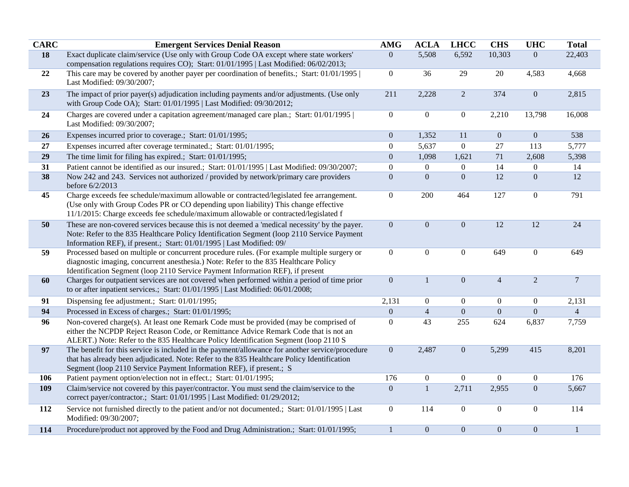| <b>CARC</b> | <b>Emergent Services Denial Reason</b>                                                                                                                                                                                                                                | <b>AMG</b>       | <b>ACLA</b>      | <b>LHCC</b>      | <b>CHS</b>       | <b>UHC</b>       | <b>Total</b>     |
|-------------|-----------------------------------------------------------------------------------------------------------------------------------------------------------------------------------------------------------------------------------------------------------------------|------------------|------------------|------------------|------------------|------------------|------------------|
| 18          | Exact duplicate claim/service (Use only with Group Code OA except where state workers'                                                                                                                                                                                | $\overline{0}$   | 5,508            | 6,592            | 10,303           | $\overline{0}$   | 22,403           |
|             | compensation regulations requires CO); Start: 01/01/1995   Last Modified: 06/02/2013;                                                                                                                                                                                 |                  |                  |                  |                  |                  |                  |
| 22          | This care may be covered by another payer per coordination of benefits.; Start: 01/01/1995  <br>Last Modified: 09/30/2007;                                                                                                                                            | $\boldsymbol{0}$ | 36               | 29               | 20               | 4,583            | 4,668            |
| 23          | The impact of prior payer(s) adjudication including payments and/or adjustments. (Use only<br>with Group Code OA); Start: 01/01/1995   Last Modified: 09/30/2012;                                                                                                     | 211              | 2,228            | $\overline{2}$   | 374              | $\boldsymbol{0}$ | 2,815            |
| 24          | Charges are covered under a capitation agreement/managed care plan.; Start: 01/01/1995  <br>Last Modified: 09/30/2007;                                                                                                                                                | $\mathbf{0}$     | $\overline{0}$   | $\boldsymbol{0}$ | 2,210            | 13,798           | 16,008           |
| 26          | Expenses incurred prior to coverage.; Start: 01/01/1995;                                                                                                                                                                                                              | $\boldsymbol{0}$ | 1,352            | 11               | $\boldsymbol{0}$ | $\boldsymbol{0}$ | 538              |
| 27          | Expenses incurred after coverage terminated.; Start: 01/01/1995;                                                                                                                                                                                                      | $\boldsymbol{0}$ | 5,637            | $\overline{0}$   | 27               | 113              | 5,777            |
| 29          | The time limit for filing has expired.; Start: 01/01/1995;                                                                                                                                                                                                            | $\boldsymbol{0}$ | 1,098            | 1,621            | 71               | 2,608            | 5,398            |
| 31          | Patient cannot be identified as our insured.; Start: 01/01/1995   Last Modified: 09/30/2007;                                                                                                                                                                          | $\boldsymbol{0}$ | $\boldsymbol{0}$ | $\boldsymbol{0}$ | 14               | 0                | 14               |
| 38          | Now 242 and 243. Services not authorized / provided by network/primary care providers<br>before 6/2/2013                                                                                                                                                              | $\mathbf{0}$     | $\boldsymbol{0}$ | $\boldsymbol{0}$ | $\overline{12}$  | $\boldsymbol{0}$ | 12               |
| 45          | Charge exceeds fee schedule/maximum allowable or contracted/legislated fee arrangement.<br>(Use only with Group Codes PR or CO depending upon liability) This change effective<br>11/1/2015: Charge exceeds fee schedule/maximum allowable or contracted/legislated f | $\mathbf{0}$     | 200              | 464              | 127              | $\boldsymbol{0}$ | 791              |
| 50          | These are non-covered services because this is not deemed a 'medical necessity' by the payer.<br>Note: Refer to the 835 Healthcare Policy Identification Segment (loop 2110 Service Payment<br>Information REF), if present.; Start: 01/01/1995   Last Modified: 09/  | $\mathbf{0}$     | $\mathbf{0}$     | $\boldsymbol{0}$ | 12               | 12               | 24               |
| 59          | Processed based on multiple or concurrent procedure rules. (For example multiple surgery or<br>diagnostic imaging, concurrent anesthesia.) Note: Refer to the 835 Healthcare Policy<br>Identification Segment (loop 2110 Service Payment Information REF), if present | $\boldsymbol{0}$ | $\mathbf{0}$     | $\boldsymbol{0}$ | 649              | $\boldsymbol{0}$ | 649              |
| 60          | Charges for outpatient services are not covered when performed within a period of time prior<br>to or after inpatient services.; Start: 01/01/1995   Last Modified: 06/01/2008;                                                                                       | $\boldsymbol{0}$ | $\mathbf{1}$     | $\boldsymbol{0}$ | $\overline{4}$   | $\overline{2}$   | $\boldsymbol{7}$ |
| 91          | Dispensing fee adjustment.; Start: 01/01/1995;                                                                                                                                                                                                                        | 2,131            | $\overline{0}$   | $\boldsymbol{0}$ | $\overline{0}$   | $\boldsymbol{0}$ | 2,131            |
| 94          | Processed in Excess of charges.; Start: 01/01/1995;                                                                                                                                                                                                                   | $\overline{0}$   | $\overline{4}$   | $\boldsymbol{0}$ | $\boldsymbol{0}$ | $\overline{0}$   | $\overline{4}$   |
| 96          | Non-covered charge(s). At least one Remark Code must be provided (may be comprised of<br>either the NCPDP Reject Reason Code, or Remittance Advice Remark Code that is not an<br>ALERT.) Note: Refer to the 835 Healthcare Policy Identification Segment (loop 2110 S | $\boldsymbol{0}$ | 43               | 255              | 624              | 6,837            | 7,759            |
| 97          | The benefit for this service is included in the payment/allowance for another service/procedure<br>that has already been adjudicated. Note: Refer to the 835 Healthcare Policy Identification<br>Segment (loop 2110 Service Payment Information REF), if present.; S  | $\boldsymbol{0}$ | 2,487            | $\boldsymbol{0}$ | 5,299            | 415              | 8,201            |
| 106         | Patient payment option/election not in effect.; Start: 01/01/1995;                                                                                                                                                                                                    | 176              | $\overline{0}$   | $\overline{0}$   | $\boldsymbol{0}$ | $\boldsymbol{0}$ | 176              |
| 109         | Claim/service not covered by this payer/contractor. You must send the claim/service to the<br>correct payer/contractor.; Start: 01/01/1995   Last Modified: 01/29/2012;                                                                                               | $\boldsymbol{0}$ | $\mathbf{1}$     | 2,711            | 2,955            | $\mathbf{0}$     | 5,667            |
| 112         | Service not furnished directly to the patient and/or not documented.; Start: 01/01/1995   Last<br>Modified: 09/30/2007;                                                                                                                                               | $\overline{0}$   | 114              | $\boldsymbol{0}$ | $\boldsymbol{0}$ | $\boldsymbol{0}$ | 114              |
| 114         | Procedure/product not approved by the Food and Drug Administration.; Start: 01/01/1995;                                                                                                                                                                               | $\mathbf{1}$     | $\mathbf{0}$     | $\boldsymbol{0}$ | $\boldsymbol{0}$ | $\boldsymbol{0}$ | $\mathbf{1}$     |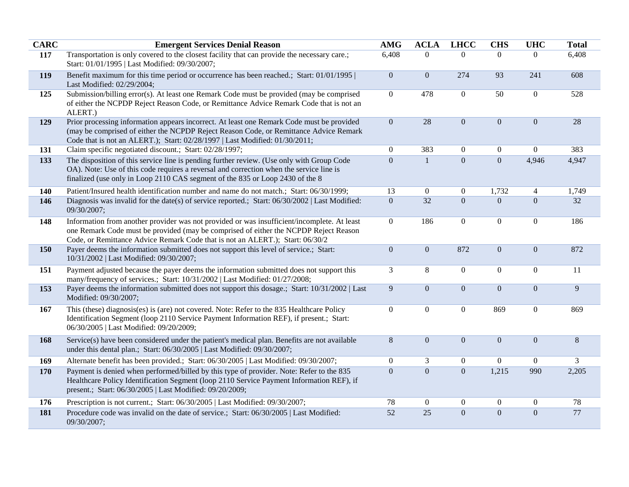| <b>CARC</b> | <b>Emergent Services Denial Reason</b>                                                                                                                                                                                                                                | <b>AMG</b>       | <b>ACLA</b>      | <b>LHCC</b>      | <b>CHS</b>       | <b>UHC</b>       | <b>Total</b>    |
|-------------|-----------------------------------------------------------------------------------------------------------------------------------------------------------------------------------------------------------------------------------------------------------------------|------------------|------------------|------------------|------------------|------------------|-----------------|
| 117         | Transportation is only covered to the closest facility that can provide the necessary care.;<br>Start: 01/01/1995   Last Modified: 09/30/2007;                                                                                                                        | 6,408            | $\Omega$         | $\Omega$         | $\Omega$         | $\theta$         | 6,408           |
| 119         | Benefit maximum for this time period or occurrence has been reached.; Start: 01/01/1995  <br>Last Modified: 02/29/2004;                                                                                                                                               | $\boldsymbol{0}$ | $\mathbf{0}$     | 274              | 93               | 241              | 608             |
| 125         | Submission/billing error(s). At least one Remark Code must be provided (may be comprised<br>of either the NCPDP Reject Reason Code, or Remittance Advice Remark Code that is not an<br>ALERT.)                                                                        | $\boldsymbol{0}$ | 478              | $\boldsymbol{0}$ | 50               | $\boldsymbol{0}$ | 528             |
| 129         | Prior processing information appears incorrect. At least one Remark Code must be provided<br>(may be comprised of either the NCPDP Reject Reason Code, or Remittance Advice Remark<br>Code that is not an ALERT.); Start: 02/28/1997   Last Modified: 01/30/2011;     | $\boldsymbol{0}$ | 28               | $\boldsymbol{0}$ | $\boldsymbol{0}$ | $\boldsymbol{0}$ | 28              |
| 131         | Claim specific negotiated discount.; Start: 02/28/1997;                                                                                                                                                                                                               | $\boldsymbol{0}$ | 383              | $\boldsymbol{0}$ | $\boldsymbol{0}$ | $\boldsymbol{0}$ | 383             |
| 133         | The disposition of this service line is pending further review. (Use only with Group Code<br>OA). Note: Use of this code requires a reversal and correction when the service line is<br>finalized (use only in Loop 2110 CAS segment of the 835 or Loop 2430 of the 8 | $\boldsymbol{0}$ | $\mathbf{1}$     | $\boldsymbol{0}$ | $\boldsymbol{0}$ | 4,946            | 4,947           |
| 140         | Patient/Insured health identification number and name do not match.; Start: 06/30/1999;                                                                                                                                                                               | 13               | $\boldsymbol{0}$ | $\boldsymbol{0}$ | 1,732            | $\overline{4}$   | 1,749           |
| 146         | Diagnosis was invalid for the date(s) of service reported.; Start: 06/30/2002   Last Modified:<br>09/30/2007;                                                                                                                                                         | $\mathbf{0}$     | $\overline{32}$  | $\mathbf{0}$     | $\overline{0}$   | $\overline{0}$   | 32              |
| 148         | Information from another provider was not provided or was insufficient/incomplete. At least<br>one Remark Code must be provided (may be comprised of either the NCPDP Reject Reason<br>Code, or Remittance Advice Remark Code that is not an ALERT.); Start: 06/30/2  | $\boldsymbol{0}$ | 186              | $\boldsymbol{0}$ | $\boldsymbol{0}$ | $\boldsymbol{0}$ | 186             |
| 150         | Payer deems the information submitted does not support this level of service.; Start:<br>10/31/2002   Last Modified: 09/30/2007;                                                                                                                                      | $\boldsymbol{0}$ | $\mathbf{0}$     | 872              | $\boldsymbol{0}$ | $\overline{0}$   | 872             |
| 151         | Payment adjusted because the payer deems the information submitted does not support this<br>many/frequency of services.; Start: 10/31/2002   Last Modified: 01/27/2008;                                                                                               | $\mathfrak{Z}$   | $8\,$            | $\boldsymbol{0}$ | $\boldsymbol{0}$ | $\overline{0}$   | $\overline{11}$ |
| 153         | Payer deems the information submitted does not support this dosage.; Start: 10/31/2002   Last<br>Modified: 09/30/2007;                                                                                                                                                | $\boldsymbol{9}$ | $\mathbf{0}$     | $\boldsymbol{0}$ | $\boldsymbol{0}$ | $\boldsymbol{0}$ | 9               |
| 167         | This (these) diagnosis(es) is (are) not covered. Note: Refer to the 835 Healthcare Policy<br>Identification Segment (loop 2110 Service Payment Information REF), if present.; Start:<br>06/30/2005   Last Modified: 09/20/2009;                                       | $\boldsymbol{0}$ | $\boldsymbol{0}$ | $\boldsymbol{0}$ | 869              | $\boldsymbol{0}$ | 869             |
| 168         | Service(s) have been considered under the patient's medical plan. Benefits are not available<br>under this dental plan.; Start: 06/30/2005   Last Modified: 09/30/2007;                                                                                               | $\, 8$           | $\boldsymbol{0}$ | $\boldsymbol{0}$ | $\boldsymbol{0}$ | $\overline{0}$   | $\, 8$          |
| 169         | Alternate benefit has been provided.; Start: 06/30/2005   Last Modified: 09/30/2007;                                                                                                                                                                                  | $\boldsymbol{0}$ | 3                | $\boldsymbol{0}$ | $\mathbf{0}$     | $\overline{0}$   | 3               |
| 170         | Payment is denied when performed/billed by this type of provider. Note: Refer to the 835<br>Healthcare Policy Identification Segment (loop 2110 Service Payment Information REF), if<br>present.; Start: 06/30/2005   Last Modified: 09/20/2009;                      | $\overline{0}$   | $\overline{0}$   | $\overline{0}$   | 1,215            | 990              | 2,205           |
| 176         | Prescription is not current.; Start: 06/30/2005   Last Modified: 09/30/2007;                                                                                                                                                                                          | 78               | $\overline{0}$   | $\boldsymbol{0}$ | $\mathbf{0}$     | $\overline{0}$   | 78              |
| 181         | Procedure code was invalid on the date of service.; Start: 06/30/2005   Last Modified:<br>09/30/2007;                                                                                                                                                                 | $\overline{52}$  | 25               | $\overline{0}$   | $\overline{0}$   | $\boldsymbol{0}$ | 77              |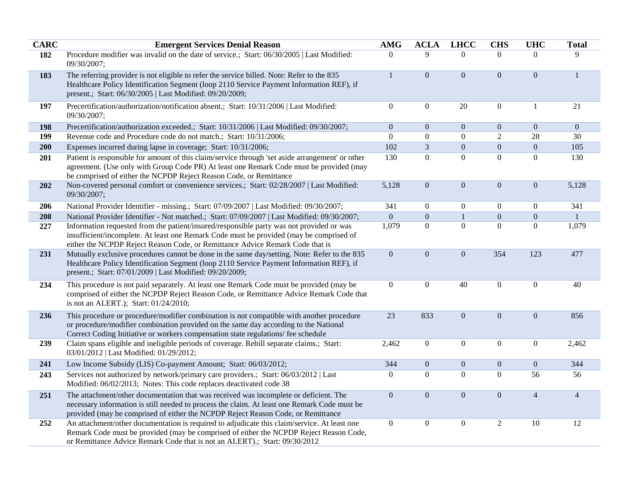| <b>CARC</b> | <b>Emergent Services Denial Reason</b>                                                                                                                                                                                                                                    | <b>AMG</b>       | <b>ACLA</b>      | <b>LHCC</b>      | <b>CHS</b>       | <b>UHC</b>       | <b>Total</b>    |
|-------------|---------------------------------------------------------------------------------------------------------------------------------------------------------------------------------------------------------------------------------------------------------------------------|------------------|------------------|------------------|------------------|------------------|-----------------|
| 182         | Procedure modifier was invalid on the date of service.; Start: 06/30/2005   Last Modified:<br>09/30/2007;                                                                                                                                                                 | $\Omega$         | 9                | $\Omega$         | $\overline{0}$   | $\Omega$         | 9               |
| 183         | The referring provider is not eligible to refer the service billed. Note: Refer to the 835<br>Healthcare Policy Identification Segment (loop 2110 Service Payment Information REF), if<br>present.; Start: 06/30/2005   Last Modified: 09/20/2009;                        | $\mathbf{1}$     | $\overline{0}$   | $\boldsymbol{0}$ | $\boldsymbol{0}$ | $\boldsymbol{0}$ | $\mathbf{1}$    |
| 197         | Precertification/authorization/notification absent.; Start: 10/31/2006   Last Modified:<br>09/30/2007;                                                                                                                                                                    | $\boldsymbol{0}$ | $\overline{0}$   | 20               | $\boldsymbol{0}$ | $\mathbf{1}$     | 21              |
| 198         | Precertification/authorization exceeded.; Start: 10/31/2006   Last Modified: 09/30/2007;                                                                                                                                                                                  | $\boldsymbol{0}$ | $\boldsymbol{0}$ | $\boldsymbol{0}$ | $\boldsymbol{0}$ | $\boldsymbol{0}$ | $\overline{0}$  |
| 199         | Revenue code and Procedure code do not match.; Start: 10/31/2006;                                                                                                                                                                                                         | $\boldsymbol{0}$ | $\boldsymbol{0}$ | $\boldsymbol{0}$ | $\sqrt{2}$       | 28               | 30              |
| 200         | Expenses incurred during lapse in coverage; Start: 10/31/2006;                                                                                                                                                                                                            | 102              | $\overline{3}$   | $\boldsymbol{0}$ | $\boldsymbol{0}$ | $\boldsymbol{0}$ | 105             |
| 201         | Patient is responsible for amount of this claim/service through 'set aside arrangement' or other<br>agreement. (Use only with Group Code PR) At least one Remark Code must be provided (may<br>be comprised of either the NCPDP Reject Reason Code, or Remittance         | 130              | $\boldsymbol{0}$ | $\mathbf{0}$     | $\mathbf{0}$     | $\boldsymbol{0}$ | 130             |
| 202         | Non-covered personal comfort or convenience services.; Start: 02/28/2007   Last Modified:<br>09/30/2007;                                                                                                                                                                  | 5,128            | $\overline{0}$   | $\boldsymbol{0}$ | $\boldsymbol{0}$ | $\boldsymbol{0}$ | 5,128           |
| 206         | National Provider Identifier - missing.; Start: 07/09/2007   Last Modified: 09/30/2007;                                                                                                                                                                                   | 341              | $\overline{0}$   | $\boldsymbol{0}$ | $\boldsymbol{0}$ | $\boldsymbol{0}$ | 341             |
| 208         | National Provider Identifier - Not matched.; Start: 07/09/2007   Last Modified: 09/30/2007;                                                                                                                                                                               | $\mathbf{0}$     | $\boldsymbol{0}$ | $\mathbf{1}$     | $\boldsymbol{0}$ | $\boldsymbol{0}$ | $\mathbf{1}$    |
| 227         | Information requested from the patient/insured/responsible party was not provided or was<br>insufficient/incomplete. At least one Remark Code must be provided (may be comprised of<br>either the NCPDP Reject Reason Code, or Remittance Advice Remark Code that is      | 1,079            | $\boldsymbol{0}$ | $\boldsymbol{0}$ | $\boldsymbol{0}$ | $\boldsymbol{0}$ | 1,079           |
| 231         | Mutually exclusive procedures cannot be done in the same day/setting. Note: Refer to the 835<br>Healthcare Policy Identification Segment (loop 2110 Service Payment Information REF), if<br>present.; Start: 07/01/2009   Last Modified: 09/20/2009;                      | $\boldsymbol{0}$ | $\boldsymbol{0}$ | $\boldsymbol{0}$ | 354              | 123              | 477             |
| 234         | This procedure is not paid separately. At least one Remark Code must be provided (may be<br>comprised of either the NCPDP Reject Reason Code, or Remittance Advice Remark Code that<br>is not an ALERT.); Start: 01/24/2010;                                              | $\boldsymbol{0}$ | $\boldsymbol{0}$ | 40               | $\boldsymbol{0}$ | $\boldsymbol{0}$ | 40              |
| 236         | This procedure or procedure/modifier combination is not compatible with another procedure<br>or procedure/modifier combination provided on the same day according to the National<br>Correct Coding Initiative or workers compensation state regulations/ fee schedule    | $\overline{23}$  | 833              | $\mathbf{0}$     | $\boldsymbol{0}$ | $\boldsymbol{0}$ | 856             |
| 239         | Claim spans eligible and ineligible periods of coverage. Rebill separate claims.; Start:<br>03/01/2012   Last Modified: 01/29/2012;                                                                                                                                       | 2,462            | $\boldsymbol{0}$ | $\boldsymbol{0}$ | $\boldsymbol{0}$ | $\boldsymbol{0}$ | 2,462           |
| 241         | Low Income Subsidy (LIS) Co-payment Amount; Start: 06/03/2012;                                                                                                                                                                                                            | 344              | $\boldsymbol{0}$ | $\boldsymbol{0}$ | $\boldsymbol{0}$ | $\boldsymbol{0}$ | 344             |
| 243         | Services not authorized by network/primary care providers.; Start: 06/03/2012   Last<br>Modified: 06/02/2013; Notes: This code replaces deactivated code 38                                                                                                               | $\overline{0}$   | $\Omega$         | $\overline{0}$   | $\boldsymbol{0}$ | 56               | 56              |
| 251         | The attachment/other documentation that was received was incomplete or deficient. The<br>necessary information is still needed to process the claim. At least one Remark Code must be<br>provided (may be comprised of either the NCPDP Reject Reason Code, or Remittance | $\boldsymbol{0}$ | $\boldsymbol{0}$ | $\boldsymbol{0}$ | $\boldsymbol{0}$ | $\overline{4}$   | $\overline{4}$  |
| 252         | An attachment/other documentation is required to adjudicate this claim/service. At least one<br>Remark Code must be provided (may be comprised of either the NCPDP Reject Reason Code,<br>or Remittance Advice Remark Code that is not an ALERT).; Start: 09/30/2012      | $\mathbf{0}$     | $\overline{0}$   | $\boldsymbol{0}$ | $\sqrt{2}$       | 10               | $\overline{12}$ |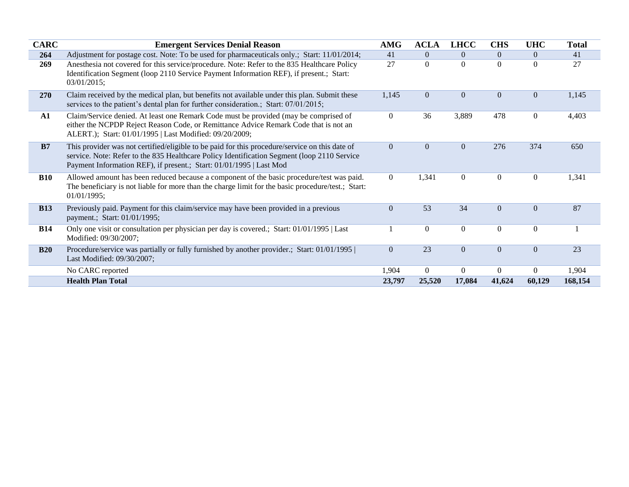| <b>CARC</b> | <b>Emergent Services Denial Reason</b>                                                                                                                                                                                                                               | <b>AMG</b>       | <b>ACLA</b>    | <b>LHCC</b>      | <b>CHS</b>       | <b>UHC</b>       | <b>Total</b> |
|-------------|----------------------------------------------------------------------------------------------------------------------------------------------------------------------------------------------------------------------------------------------------------------------|------------------|----------------|------------------|------------------|------------------|--------------|
| 264         | Adjustment for postage cost. Note: To be used for pharmaceuticals only.; Start: 11/01/2014;                                                                                                                                                                          | 41               | $\Omega$       | $\Omega$         | $\overline{0}$   | $\overline{0}$   | 41           |
| 269         | Anesthesia not covered for this service/procedure. Note: Refer to the 835 Healthcare Policy<br>Identification Segment (loop 2110 Service Payment Information REF), if present.; Start:<br>03/01/2015;                                                                | 27               | $\overline{0}$ | $\mathbf{0}$     | $\mathbf{0}$     | $\overline{0}$   | 27           |
| 270         | Claim received by the medical plan, but benefits not available under this plan. Submit these<br>services to the patient's dental plan for further consideration.; Start: 07/01/2015;                                                                                 | 1,145            | $\overline{0}$ | $\Omega$         | $\overline{0}$   | $\overline{0}$   | 1,145        |
| ${\bf A1}$  | Claim/Service denied. At least one Remark Code must be provided (may be comprised of<br>either the NCPDP Reject Reason Code, or Remittance Advice Remark Code that is not an<br>ALERT.); Start: 01/01/1995   Last Modified: 09/20/2009;                              | $\overline{0}$   | 36             | 3,889            | 478              | $\overline{0}$   | 4,403        |
| B7          | This provider was not certified/eligible to be paid for this procedure/service on this date of<br>service. Note: Refer to the 835 Healthcare Policy Identification Segment (loop 2110 Service<br>Payment Information REF), if present.; Start: 01/01/1995   Last Mod | $\overline{0}$   | $\theta$       | $\Omega$         | 276              | 374              | 650          |
| <b>B10</b>  | Allowed amount has been reduced because a component of the basic procedure/test was paid.<br>The beneficiary is not liable for more than the charge limit for the basic procedure/test.; Start:<br>01/01/1995;                                                       | $\overline{0}$   | 1,341          | $\boldsymbol{0}$ | $\boldsymbol{0}$ | $\boldsymbol{0}$ | 1,341        |
| <b>B13</b>  | Previously paid. Payment for this claim/service may have been provided in a previous<br>payment.; Start: 01/01/1995;                                                                                                                                                 | $\mathbf{0}$     | 53             | 34               | $\overline{0}$   | $\overline{0}$   | 87           |
| <b>B14</b>  | Only one visit or consultation per physician per day is covered.; Start: 01/01/1995   Last<br>Modified: 09/30/2007;                                                                                                                                                  |                  | $\overline{0}$ | $\overline{0}$   | $\mathbf{0}$     | $\mathbf{0}$     |              |
| <b>B20</b>  | Procedure/service was partially or fully furnished by another provider.; Start: 01/01/1995  <br>Last Modified: 09/30/2007;                                                                                                                                           | $\boldsymbol{0}$ | 23             | $\mathbf{0}$     | $\mathbf{0}$     | $\overline{0}$   | 23           |
|             | No CARC reported                                                                                                                                                                                                                                                     | 1,904            | $\overline{0}$ | $\mathbf{0}$     | $\overline{0}$   | $\overline{0}$   | 1,904        |
|             | <b>Health Plan Total</b>                                                                                                                                                                                                                                             | 23,797           | 25,520         | 17,084           | 41,624           | 60,129           | 168,154      |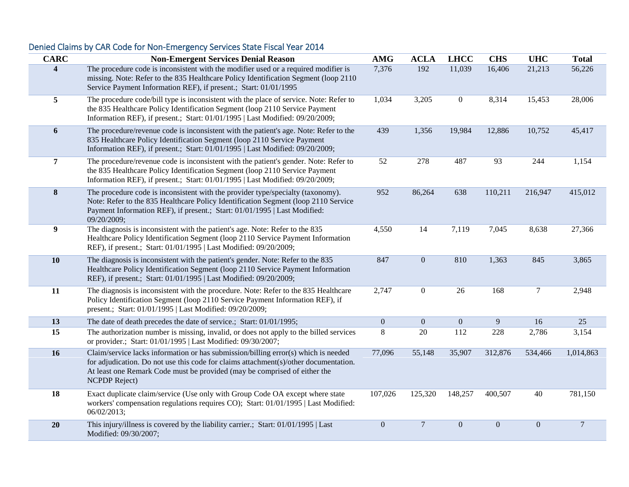## **CARC Non-Emergent Services Denial Reason AMG ACLA LHCC CHS UHC Total 4** The procedure code is inconsistent with the modifier used or a required modifier is missing. Note: Refer to the 835 Healthcare Policy Identification Segment (loop 2110 Service Payment Information REF), if present.; Start: 01/01/1995 7,376 192 11,039 16,406 21,213 56,226 **5** The procedure code/bill type is inconsistent with the place of service. Note: Refer to the 835 Healthcare Policy Identification Segment (loop 2110 Service Payment Information REF), if present.; Start: 01/01/1995 | Last Modified: 09/20/2009; 1,034 3,205 0 8,314 15,453 28,006 **6** The procedure/revenue code is inconsistent with the patient's age. Note: Refer to the 835 Healthcare Policy Identification Segment (loop 2110 Service Payment Information REF), if present.; Start: 01/01/1995 | Last Modified: 09/20/2009; 439 1,356 19,984 12,886 10,752 45,417 **7** The procedure/revenue code is inconsistent with the patient's gender. Note: Refer to the 835 Healthcare Policy Identification Segment (loop 2110 Service Payment Information REF), if present.; Start: 01/01/1995 | Last Modified: 09/20/2009; 52 278 487 93 244 1,154 **8** The procedure code is inconsistent with the provider type/specialty (taxonomy). Note: Refer to the 835 Healthcare Policy Identification Segment (loop 2110 Service Payment Information REF), if present.; Start: 01/01/1995 | Last Modified: 09/20/2009; 952 86,264 638 110,211 216,947 415,012 **9** The diagnosis is inconsistent with the patient's age. Note: Refer to the 835 Healthcare Policy Identification Segment (loop 2110 Service Payment Information REF), if present.; Start: 01/01/1995 | Last Modified: 09/20/2009; 4,550 14 7,119 7,045 8,638 27,366 **10** The diagnosis is inconsistent with the patient's gender. Note: Refer to the 835 Healthcare Policy Identification Segment (loop 2110 Service Payment Information REF), if present.; Start: 01/01/1995 | Last Modified: 09/20/2009; 847 0 810 1,363 845 3,865 **11** The diagnosis is inconsistent with the procedure. Note: Refer to the 835 Healthcare Policy Identification Segment (loop 2110 Service Payment Information REF), if present.; Start: 01/01/1995 | Last Modified: 09/20/2009; 2,747 0 26 168 7 2,948 **13** The date of death precedes the date of service.; Start: 01/01/1995; 0 0 0 9 16 25 **15** The authorization number is missing, invalid, or does not apply to the billed services or provider.; Start: 01/01/1995 | Last Modified: 09/30/2007; 8 20 112 228 2,786 3,154 **16** Claim/service lacks information or has submission/billing error(s) which is needed for adjudication. Do not use this code for claims attachment(s)/other documentation. At least one Remark Code must be provided (may be comprised of either the NCPDP Reject) 77,096 55,148 35,907 312,876 534,466 1,014,863 **18** Exact duplicate claim/service (Use only with Group Code OA except where state workers' compensation regulations requires CO); Start: 01/01/1995 | Last Modified: 06/02/2013; 107,026 125,320 148,257 400,507 40 781,150 **20** This injury/illness is covered by the liability carrier.; Start: 01/01/1995 | Last Modified: 09/30/2007; 0 7 0 0 0 7

## Denied Claims by CAR Code for Non-Emergency Services State Fiscal Year 2014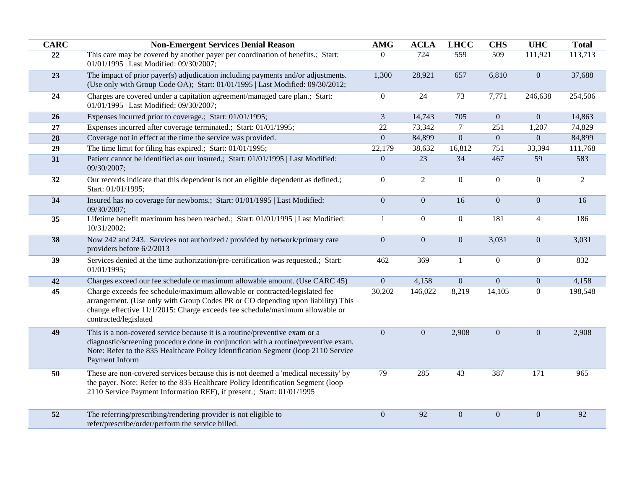| <b>CARC</b> | <b>Non-Emergent Services Denial Reason</b>                                                                                                                                                                                                                               | <b>AMG</b>       | <b>ACLA</b>      | <b>LHCC</b>    | <b>CHS</b>       | <b>UHC</b>     | <b>Total</b> |
|-------------|--------------------------------------------------------------------------------------------------------------------------------------------------------------------------------------------------------------------------------------------------------------------------|------------------|------------------|----------------|------------------|----------------|--------------|
| 22          | This care may be covered by another payer per coordination of benefits.; Start:<br>01/01/1995   Last Modified: 09/30/2007;                                                                                                                                               | $\overline{0}$   | 724              | 559            | 509              | 111,921        | 113,713      |
| 23          | The impact of prior payer(s) adjudication including payments and/or adjustments.<br>(Use only with Group Code OA); Start: 01/01/1995   Last Modified: 09/30/2012;                                                                                                        | 1,300            | 28,921           | 657            | 6,810            | $\mathbf{0}$   | 37,688       |
| 24          | Charges are covered under a capitation agreement/managed care plan.; Start:<br>01/01/1995   Last Modified: 09/30/2007;                                                                                                                                                   | $\boldsymbol{0}$ | 24               | 73             | 7,771            | 246,638        | 254,506      |
| 26          | Expenses incurred prior to coverage.; Start: 01/01/1995;                                                                                                                                                                                                                 | $\mathfrak{Z}$   | 14,743           | 705            | $\mathbf{0}$     | $\overline{0}$ | 14,863       |
| 27          | Expenses incurred after coverage terminated.; Start: 01/01/1995;                                                                                                                                                                                                         | $22\,$           | 73,342           | $\tau$         | 251              | 1,207          | 74,829       |
| 28          | Coverage not in effect at the time the service was provided.                                                                                                                                                                                                             | $\boldsymbol{0}$ | 84,899           | $\mathbf{0}$   | $\mathbf{0}$     | $\overline{0}$ | 84,899       |
| 29          | The time limit for filing has expired.; Start: 01/01/1995;                                                                                                                                                                                                               | 22,179           | 38,632           | 16,812         | 751              | 33,394         | 111,768      |
| 31          | Patient cannot be identified as our insured.; Start: 01/01/1995   Last Modified:<br>09/30/2007;                                                                                                                                                                          | $\mathbf{0}$     | 23               | 34             | 467              | 59             | 583          |
| 32          | Our records indicate that this dependent is not an eligible dependent as defined.;<br>Start: 01/01/1995;                                                                                                                                                                 | $\boldsymbol{0}$ | $\overline{2}$   | $\overline{0}$ | $\boldsymbol{0}$ | $\overline{0}$ | 2            |
| 34          | Insured has no coverage for newborns.; Start: 01/01/1995   Last Modified:<br>09/30/2007;                                                                                                                                                                                 | $\mathbf{0}$     | $\overline{0}$   | 16             | $\boldsymbol{0}$ | $\overline{0}$ | 16           |
| 35          | Lifetime benefit maximum has been reached.; Start: 01/01/1995   Last Modified:<br>10/31/2002;                                                                                                                                                                            | 1                | $\overline{0}$   | $\overline{0}$ | 181              | $\overline{4}$ | 186          |
| 38          | Now 242 and 243. Services not authorized / provided by network/primary care<br>providers before 6/2/2013                                                                                                                                                                 | $\boldsymbol{0}$ | $\boldsymbol{0}$ | $\overline{0}$ | 3,031            | $\mathbf{0}$   | 3,031        |
| 39          | Services denied at the time authorization/pre-certification was requested.; Start:<br>01/01/1995;                                                                                                                                                                        | 462              | 369              | $\mathbf{1}$   | $\boldsymbol{0}$ | $\mathbf{0}$   | 832          |
| 42          | Charges exceed our fee schedule or maximum allowable amount. (Use CARC 45)                                                                                                                                                                                               | $\mathbf{0}$     | 4,158            | $\overline{0}$ | $\boldsymbol{0}$ | $\mathbf{0}$   | 4,158        |
| 45          | Charge exceeds fee schedule/maximum allowable or contracted/legislated fee<br>arrangement. (Use only with Group Codes PR or CO depending upon liability) This<br>change effective 11/1/2015: Charge exceeds fee schedule/maximum allowable or<br>contracted/legislated   | 30,202           | 146,022          | 8,219          | 14,105           | $\overline{0}$ | 198,548      |
| 49          | This is a non-covered service because it is a routine/preventive exam or a<br>diagnostic/screening procedure done in conjunction with a routine/preventive exam.<br>Note: Refer to the 835 Healthcare Policy Identification Segment (loop 2110 Service<br>Payment Inform | $\mathbf{0}$     | $\overline{0}$   | 2,908          | $\mathbf{0}$     | $\overline{0}$ | 2,908        |
| 50          | These are non-covered services because this is not deemed a 'medical necessity' by<br>the payer. Note: Refer to the 835 Healthcare Policy Identification Segment (loop<br>2110 Service Payment Information REF), if present.; Start: 01/01/1995                          | 79               | 285              | 43             | 387              | 171            | 965          |
| 52          | The referring/prescribing/rendering provider is not eligible to<br>refer/prescribe/order/perform the service billed.                                                                                                                                                     | $\boldsymbol{0}$ | 92               | $\mathbf{0}$   | $\boldsymbol{0}$ | $\mathbf{0}$   | 92           |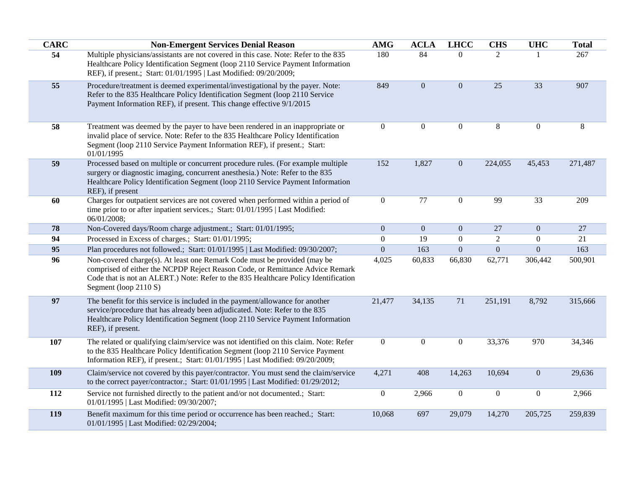| <b>CARC</b> | <b>Non-Emergent Services Denial Reason</b>                                                                                                                                                                                                                                | <b>AMG</b>       | <b>ACLA</b>      | <b>LHCC</b>      | <b>CHS</b>       | <b>UHC</b>       | <b>Total</b> |
|-------------|---------------------------------------------------------------------------------------------------------------------------------------------------------------------------------------------------------------------------------------------------------------------------|------------------|------------------|------------------|------------------|------------------|--------------|
| 54          | Multiple physicians/assistants are not covered in this case. Note: Refer to the 835<br>Healthcare Policy Identification Segment (loop 2110 Service Payment Information<br>REF), if present.; Start: 01/01/1995   Last Modified: 09/20/2009;                               | 180              | 84               | $\overline{0}$   | $\overline{2}$   |                  | 267          |
| 55          | Procedure/treatment is deemed experimental/investigational by the payer. Note:<br>Refer to the 835 Healthcare Policy Identification Segment (loop 2110 Service<br>Payment Information REF), if present. This change effective 9/1/2015                                    | 849              | $\boldsymbol{0}$ | $\mathbf{0}$     | 25               | 33               | 907          |
| 58          | Treatment was deemed by the payer to have been rendered in an inappropriate or<br>invalid place of service. Note: Refer to the 835 Healthcare Policy Identification<br>Segment (loop 2110 Service Payment Information REF), if present.; Start:<br>01/01/1995             | $\boldsymbol{0}$ | $\boldsymbol{0}$ | $\boldsymbol{0}$ | 8                | $\mathbf{0}$     | $\,8\,$      |
| 59          | Processed based on multiple or concurrent procedure rules. (For example multiple<br>surgery or diagnostic imaging, concurrent anesthesia.) Note: Refer to the 835<br>Healthcare Policy Identification Segment (loop 2110 Service Payment Information<br>REF), if present  | 152              | 1,827            | $\mathbf{0}$     | 224,055          | 45,453           | 271,487      |
| 60          | Charges for outpatient services are not covered when performed within a period of<br>time prior to or after inpatient services.; Start: 01/01/1995   Last Modified:<br>06/01/2008;                                                                                        | $\boldsymbol{0}$ | 77               | $\overline{0}$   | 99               | 33               | 209          |
| 78          | Non-Covered days/Room charge adjustment.; Start: 01/01/1995;                                                                                                                                                                                                              | $\mathbf{0}$     | $\mathbf{0}$     | $\overline{0}$   | 27               | $\overline{0}$   | 27           |
| 94          | Processed in Excess of charges.; Start: 01/01/1995;                                                                                                                                                                                                                       | $\overline{0}$   | 19               | $\boldsymbol{0}$ | $\overline{2}$   | $\overline{0}$   | 21           |
| 95          | Plan procedures not followed.; Start: 01/01/1995   Last Modified: 09/30/2007;                                                                                                                                                                                             | $\boldsymbol{0}$ | 163              | $\boldsymbol{0}$ | $\boldsymbol{0}$ | $\overline{0}$   | 163          |
| 96          | Non-covered charge(s). At least one Remark Code must be provided (may be<br>comprised of either the NCPDP Reject Reason Code, or Remittance Advice Remark<br>Code that is not an ALERT.) Note: Refer to the 835 Healthcare Policy Identification<br>Segment (loop 2110 S) | 4,025            | 60,833           | 66,830           | 62,771           | 306,442          | 500,901      |
| 97          | The benefit for this service is included in the payment/allowance for another<br>service/procedure that has already been adjudicated. Note: Refer to the 835<br>Healthcare Policy Identification Segment (loop 2110 Service Payment Information<br>REF), if present.      | 21,477           | 34,135           | 71               | 251,191          | 8,792            | 315,666      |
| 107         | The related or qualifying claim/service was not identified on this claim. Note: Refer<br>to the 835 Healthcare Policy Identification Segment (loop 2110 Service Payment<br>Information REF), if present.; Start: 01/01/1995   Last Modified: 09/20/2009;                  | $\overline{0}$   | $\boldsymbol{0}$ | $\overline{0}$   | 33,376           | 970              | 34,346       |
| 109         | Claim/service not covered by this payer/contractor. You must send the claim/service<br>to the correct payer/contractor.; Start: 01/01/1995   Last Modified: 01/29/2012;                                                                                                   | 4,271            | 408              | 14,263           | 10,694           | $\overline{0}$   | 29,636       |
| 112         | Service not furnished directly to the patient and/or not documented.; Start:<br>01/01/1995   Last Modified: 09/30/2007;                                                                                                                                                   | $\boldsymbol{0}$ | 2,966            | $\boldsymbol{0}$ | $\boldsymbol{0}$ | $\boldsymbol{0}$ | 2,966        |
| 119         | Benefit maximum for this time period or occurrence has been reached.; Start:<br>01/01/1995   Last Modified: 02/29/2004;                                                                                                                                                   | 10,068           | 697              | 29,079           | 14,270           | 205,725          | 259,839      |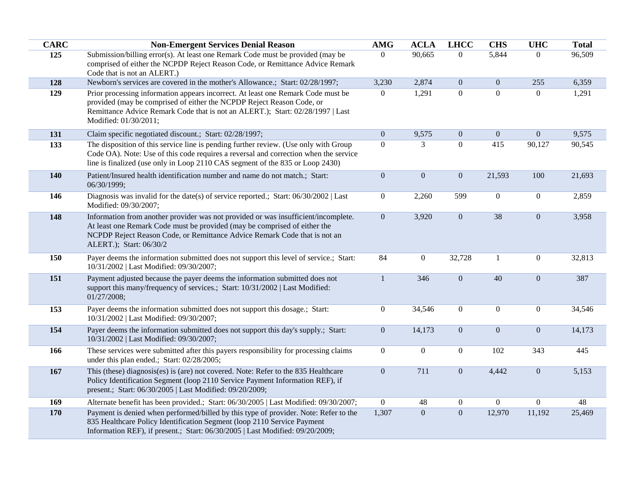| <b>CARC</b> | <b>Non-Emergent Services Denial Reason</b>                                                                                                                                                                                                                              | <b>AMG</b>     | <b>ACLA</b>      | <b>LHCC</b>    | <b>CHS</b>       | <b>UHC</b>     | <b>Total</b> |
|-------------|-------------------------------------------------------------------------------------------------------------------------------------------------------------------------------------------------------------------------------------------------------------------------|----------------|------------------|----------------|------------------|----------------|--------------|
| 125         | Submission/billing error(s). At least one Remark Code must be provided (may be                                                                                                                                                                                          | $\overline{0}$ | 90,665           | $\overline{0}$ | 5,844            | $\overline{0}$ | 96,509       |
|             | comprised of either the NCPDP Reject Reason Code, or Remittance Advice Remark<br>Code that is not an ALERT.)                                                                                                                                                            |                |                  |                |                  |                |              |
| 128         | Newborn's services are covered in the mother's Allowance.; Start: 02/28/1997;                                                                                                                                                                                           | 3,230          | 2,874            | $\overline{0}$ | $\boldsymbol{0}$ | 255            | 6,359        |
| 129         | Prior processing information appears incorrect. At least one Remark Code must be<br>provided (may be comprised of either the NCPDP Reject Reason Code, or<br>Remittance Advice Remark Code that is not an ALERT.); Start: 02/28/1997   Last<br>Modified: 01/30/2011;    | $\overline{0}$ | 1,291            | $\overline{0}$ | $\mathbf{0}$     | $\overline{0}$ | 1,291        |
| 131         | Claim specific negotiated discount.; Start: 02/28/1997;                                                                                                                                                                                                                 | $\overline{0}$ | 9,575            | $\overline{0}$ | $\mathbf{0}$     | $\overline{0}$ | 9,575        |
| 133         | The disposition of this service line is pending further review. (Use only with Group<br>Code OA). Note: Use of this code requires a reversal and correction when the service<br>line is finalized (use only in Loop 2110 CAS segment of the 835 or Loop 2430)           | $\mathbf{0}$   | 3                | $\overline{0}$ | 415              | 90,127         | 90,545       |
| 140         | Patient/Insured health identification number and name do not match.; Start:<br>06/30/1999;                                                                                                                                                                              | $\overline{0}$ | $\mathbf{0}$     | $\overline{0}$ | 21,593           | 100            | 21,693       |
| 146         | Diagnosis was invalid for the date(s) of service reported.; Start: 06/30/2002   Last<br>Modified: 09/30/2007;                                                                                                                                                           | $\overline{0}$ | 2,260            | 599            | $\boldsymbol{0}$ | $\overline{0}$ | 2,859        |
| 148         | Information from another provider was not provided or was insufficient/incomplete.<br>At least one Remark Code must be provided (may be comprised of either the<br>NCPDP Reject Reason Code, or Remittance Advice Remark Code that is not an<br>ALERT.); Start: 06/30/2 | $\overline{0}$ | 3,920            | $\overline{0}$ | 38               | $\overline{0}$ | 3,958        |
| 150         | Payer deems the information submitted does not support this level of service.; Start:<br>10/31/2002   Last Modified: 09/30/2007;                                                                                                                                        | 84             | $\boldsymbol{0}$ | 32,728         | $\mathbf{1}$     | $\overline{0}$ | 32,813       |
| 151         | Payment adjusted because the payer deems the information submitted does not<br>support this many/frequency of services.; Start: 10/31/2002   Last Modified:<br>01/27/2008;                                                                                              | $\mathbf{1}$   | 346              | $\mathbf{0}$   | 40               | $\overline{0}$ | 387          |
| 153         | Payer deems the information submitted does not support this dosage.; Start:<br>10/31/2002   Last Modified: 09/30/2007;                                                                                                                                                  | $\overline{0}$ | 34,546           | $\overline{0}$ | $\boldsymbol{0}$ | $\overline{0}$ | 34,546       |
| 154         | Payer deems the information submitted does not support this day's supply.; Start:<br>10/31/2002   Last Modified: 09/30/2007;                                                                                                                                            | $\overline{0}$ | 14,173           | $\overline{0}$ | $\boldsymbol{0}$ | $\overline{0}$ | 14,173       |
| 166         | These services were submitted after this payers responsibility for processing claims<br>under this plan ended.; Start: 02/28/2005;                                                                                                                                      | $\mathbf{0}$   | $\overline{0}$   | $\overline{0}$ | 102              | 343            | 445          |
| 167         | This (these) diagnosis(es) is (are) not covered. Note: Refer to the 835 Healthcare<br>Policy Identification Segment (loop 2110 Service Payment Information REF), if<br>present.; Start: 06/30/2005   Last Modified: 09/20/2009;                                         | $\overline{0}$ | 711              | $\overline{0}$ | 4,442            | $\overline{0}$ | 5,153        |
| 169         | Alternate benefit has been provided.; Start: 06/30/2005   Last Modified: 09/30/2007;                                                                                                                                                                                    | $\overline{0}$ | 48               | $\overline{0}$ | $\boldsymbol{0}$ | $\overline{0}$ | 48           |
| 170         | Payment is denied when performed/billed by this type of provider. Note: Refer to the<br>835 Healthcare Policy Identification Segment (loop 2110 Service Payment<br>Information REF), if present.; Start: 06/30/2005   Last Modified: 09/20/2009;                        | 1,307          | $\mathbf{0}$     | $\overline{0}$ | 12,970           | 11,192         | 25,469       |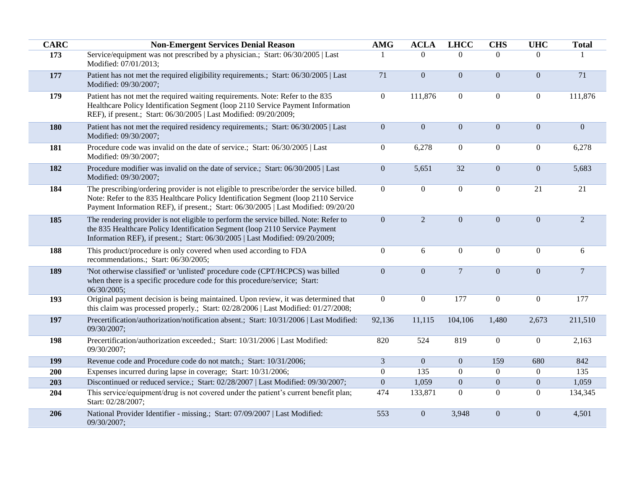| <b>CARC</b> | <b>Non-Emergent Services Denial Reason</b>                                                                                                                                                                                                                           | <b>AMG</b>       | <b>ACLA</b>    | <b>LHCC</b>      | <b>CHS</b>       | <b>UHC</b>       | <b>Total</b>     |
|-------------|----------------------------------------------------------------------------------------------------------------------------------------------------------------------------------------------------------------------------------------------------------------------|------------------|----------------|------------------|------------------|------------------|------------------|
| 173         | Service/equipment was not prescribed by a physician.; Start: 06/30/2005   Last<br>Modified: 07/01/2013;                                                                                                                                                              |                  | $\Omega$       | $\Omega$         | $\theta$         | $\Omega$         |                  |
| 177         | Patient has not met the required eligibility requirements.; Start: 06/30/2005   Last<br>Modified: 09/30/2007;                                                                                                                                                        | 71               | $\overline{0}$ | $\boldsymbol{0}$ | $\boldsymbol{0}$ | $\boldsymbol{0}$ | 71               |
| 179         | Patient has not met the required waiting requirements. Note: Refer to the 835<br>Healthcare Policy Identification Segment (loop 2110 Service Payment Information<br>REF), if present.; Start: 06/30/2005   Last Modified: 09/20/2009;                                | $\overline{0}$   | 111,876        | $\boldsymbol{0}$ | $\boldsymbol{0}$ | $\boldsymbol{0}$ | 111,876          |
| 180         | Patient has not met the required residency requirements.; Start: 06/30/2005   Last<br>Modified: 09/30/2007;                                                                                                                                                          | $\boldsymbol{0}$ | $\overline{0}$ | $\boldsymbol{0}$ | $\mathbf{0}$     | $\boldsymbol{0}$ | $\boldsymbol{0}$ |
| <b>181</b>  | Procedure code was invalid on the date of service.; Start: 06/30/2005   Last<br>Modified: 09/30/2007;                                                                                                                                                                | $\boldsymbol{0}$ | 6,278          | $\boldsymbol{0}$ | $\boldsymbol{0}$ | $\boldsymbol{0}$ | 6,278            |
| 182         | Procedure modifier was invalid on the date of service.; Start: 06/30/2005   Last<br>Modified: 09/30/2007;                                                                                                                                                            | $\boldsymbol{0}$ | 5,651          | 32               | $\boldsymbol{0}$ | $\boldsymbol{0}$ | 5,683            |
| 184         | The prescribing/ordering provider is not eligible to prescribe/order the service billed.<br>Note: Refer to the 835 Healthcare Policy Identification Segment (loop 2110 Service<br>Payment Information REF), if present.; Start: 06/30/2005   Last Modified: 09/20/20 | $\overline{0}$   | $\overline{0}$ | $\boldsymbol{0}$ | $\boldsymbol{0}$ | $\overline{21}$  | $\overline{21}$  |
| 185         | The rendering provider is not eligible to perform the service billed. Note: Refer to<br>the 835 Healthcare Policy Identification Segment (loop 2110 Service Payment<br>Information REF), if present.; Start: 06/30/2005   Last Modified: 09/20/2009;                 | $\overline{0}$   | $\overline{2}$ | $\overline{0}$   | $\mathbf{0}$     | $\overline{0}$   | $\overline{2}$   |
| 188         | This product/procedure is only covered when used according to FDA<br>recommendations.; Start: 06/30/2005;                                                                                                                                                            | $\boldsymbol{0}$ | 6              | $\boldsymbol{0}$ | $\mathbf{0}$     | $\boldsymbol{0}$ | 6                |
| 189         | 'Not otherwise classified' or 'unlisted' procedure code (CPT/HCPCS) was billed<br>when there is a specific procedure code for this procedure/service; Start:<br>06/30/2005;                                                                                          | $\overline{0}$   | $\overline{0}$ | $\overline{7}$   | $\mathbf{0}$     | $\overline{0}$   | $\overline{7}$   |
| 193         | Original payment decision is being maintained. Upon review, it was determined that<br>this claim was processed properly.; Start: 02/28/2006   Last Modified: 01/27/2008;                                                                                             | $\overline{0}$   | $\overline{0}$ | 177              | $\boldsymbol{0}$ | $\boldsymbol{0}$ | 177              |
| 197         | Precertification/authorization/notification absent.; Start: 10/31/2006   Last Modified:<br>09/30/2007;                                                                                                                                                               | 92,136           | 11,115         | 104,106          | 1,480            | 2,673            | 211,510          |
| 198         | Precertification/authorization exceeded.; Start: 10/31/2006   Last Modified:<br>09/30/2007;                                                                                                                                                                          | 820              | 524            | 819              | $\boldsymbol{0}$ | $\mathbf{0}$     | 2,163            |
| 199         | Revenue code and Procedure code do not match.; Start: 10/31/2006;                                                                                                                                                                                                    | $\mathfrak{Z}$   | $\mathbf{0}$   | $\boldsymbol{0}$ | 159              | 680              | 842              |
| 200         | Expenses incurred during lapse in coverage; Start: 10/31/2006;                                                                                                                                                                                                       | $\overline{0}$   | 135            | $\boldsymbol{0}$ | $\boldsymbol{0}$ | $\mathbf{0}$     | 135              |
| 203         | Discontinued or reduced service.; Start: 02/28/2007   Last Modified: 09/30/2007;                                                                                                                                                                                     | $\mathbf{0}$     | 1,059          | $\boldsymbol{0}$ | $\mathbf{0}$     | $\mathbf{0}$     | 1,059            |
| 204         | This service/equipment/drug is not covered under the patient's current benefit plan;<br>Start: 02/28/2007;                                                                                                                                                           | 474              | 133,871        | $\overline{0}$   | $\boldsymbol{0}$ | $\mathbf{0}$     | 134,345          |
| 206         | National Provider Identifier - missing.; Start: 07/09/2007   Last Modified:<br>09/30/2007;                                                                                                                                                                           | 553              | $\overline{0}$ | 3,948            | $\mathbf{0}$     | $\boldsymbol{0}$ | 4,501            |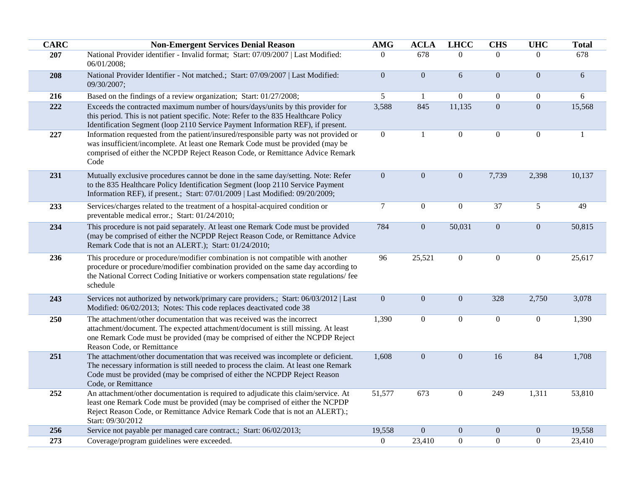| <b>CARC</b> | <b>Non-Emergent Services Denial Reason</b>                                                                                                                                                                                                                                   | <b>AMG</b>       | <b>ACLA</b>      | <b>LHCC</b>      | <b>CHS</b>       | <b>UHC</b>      | <b>Total</b> |
|-------------|------------------------------------------------------------------------------------------------------------------------------------------------------------------------------------------------------------------------------------------------------------------------------|------------------|------------------|------------------|------------------|-----------------|--------------|
| 207         | National Provider identifier - Invalid format; Start: 07/09/2007   Last Modified:<br>06/01/2008;                                                                                                                                                                             | $\theta$         | 678              | $\Omega$         | $\Omega$         | $\Omega$        | 678          |
| 208         | National Provider Identifier - Not matched.; Start: 07/09/2007   Last Modified:<br>09/30/2007;                                                                                                                                                                               | $\mathbf{0}$     | $\boldsymbol{0}$ | 6                | $\boldsymbol{0}$ | $\overline{0}$  | $6\,$        |
| 216         | Based on the findings of a review organization; Start: 01/27/2008;                                                                                                                                                                                                           | 5                | -1               | $\Omega$         | $\mathbf{0}$     | $\overline{0}$  | $6\,$        |
| 222         | Exceeds the contracted maximum number of hours/days/units by this provider for<br>this period. This is not patient specific. Note: Refer to the 835 Healthcare Policy<br>Identification Segment (loop 2110 Service Payment Information REF), if present.                     | 3,588            | 845              | 11,135           | $\mathbf{0}$     | $\overline{0}$  | 15,568       |
| 227         | Information requested from the patient/insured/responsible party was not provided or<br>was insufficient/incomplete. At least one Remark Code must be provided (may be<br>comprised of either the NCPDP Reject Reason Code, or Remittance Advice Remark<br>Code              | $\mathbf{0}$     | $\mathbf{1}$     | $\mathbf{0}$     | $\boldsymbol{0}$ | $\overline{0}$  | 1            |
| 231         | Mutually exclusive procedures cannot be done in the same day/setting. Note: Refer<br>to the 835 Healthcare Policy Identification Segment (loop 2110 Service Payment<br>Information REF), if present.; Start: 07/01/2009   Last Modified: 09/20/2009;                         | $\mathbf{0}$     | $\mathbf{0}$     | $\overline{0}$   | 7,739            | 2,398           | 10,137       |
| 233         | Services/charges related to the treatment of a hospital-acquired condition or<br>preventable medical error.; Start: 01/24/2010;                                                                                                                                              | $\overline{7}$   | $\boldsymbol{0}$ | $\overline{0}$   | 37               | $5\overline{)}$ | 49           |
| 234         | This procedure is not paid separately. At least one Remark Code must be provided<br>(may be comprised of either the NCPDP Reject Reason Code, or Remittance Advice<br>Remark Code that is not an ALERT.); Start: 01/24/2010;                                                 | 784              | $\mathbf{0}$     | 50,031           | $\boldsymbol{0}$ | $\mathbf{0}$    | 50,815       |
| 236         | This procedure or procedure/modifier combination is not compatible with another<br>procedure or procedure/modifier combination provided on the same day according to<br>the National Correct Coding Initiative or workers compensation state regulations/ fee<br>schedule    | 96               | 25,521           | $\overline{0}$   | $\boldsymbol{0}$ | $\mathbf{0}$    | 25,617       |
| 243         | Services not authorized by network/primary care providers.; Start: 06/03/2012   Last<br>Modified: 06/02/2013; Notes: This code replaces deactivated code 38                                                                                                                  | $\mathbf{0}$     | $\boldsymbol{0}$ | $\mathbf{0}$     | 328              | 2,750           | 3,078        |
| 250         | The attachment/other documentation that was received was the incorrect<br>attachment/document. The expected attachment/document is still missing. At least<br>one Remark Code must be provided (may be comprised of either the NCPDP Reject<br>Reason Code, or Remittance    | 1,390            | $\boldsymbol{0}$ | $\boldsymbol{0}$ | $\boldsymbol{0}$ | $\overline{0}$  | 1,390        |
| 251         | The attachment/other documentation that was received was incomplete or deficient.<br>The necessary information is still needed to process the claim. At least one Remark<br>Code must be provided (may be comprised of either the NCPDP Reject Reason<br>Code, or Remittance | 1,608            | $\overline{0}$   | $\mathbf{0}$     | 16               | 84              | 1,708        |
| 252         | An attachment/other documentation is required to adjudicate this claim/service. At<br>least one Remark Code must be provided (may be comprised of either the NCPDP<br>Reject Reason Code, or Remittance Advice Remark Code that is not an ALERT).;<br>Start: 09/30/2012      | 51,577           | 673              | $\overline{0}$   | 249              | 1,311           | 53,810       |
| 256         | Service not payable per managed care contract.; Start: 06/02/2013;                                                                                                                                                                                                           | 19,558           | $\boldsymbol{0}$ | $\boldsymbol{0}$ | $\mathbf{0}$     | $\mathbf{0}$    | 19,558       |
| 273         | Coverage/program guidelines were exceeded.                                                                                                                                                                                                                                   | $\boldsymbol{0}$ | 23,410           | $\boldsymbol{0}$ | $\boldsymbol{0}$ | $\overline{0}$  | 23,410       |